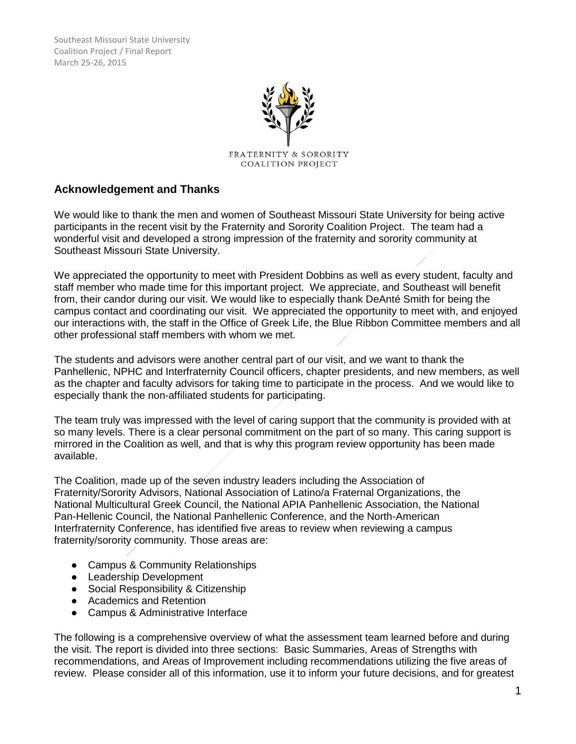

# **Acknowledgement and Thanks**

We would like to thank the men and women of Southeast Missouri State University for being active participants in the recent visit by the Fraternity and Sorority Coalition Project. The team had a wonderful visit and developed a strong impression of the fraternity and sorority community at Southeast Missouri State University.

We appreciated the opportunity to meet with President Dobbins as well as every student, faculty and staff member who made time for this important project. We appreciate, and Southeast will benefit from, their candor during our visit. We would like to especially thank DeAnté Smith for being the campus contact and coordinating our visit. We appreciated the opportunity to meet with, and enjoyed our interactions with, the staff in the Office of Greek Life, the Blue Ribbon Committee members and all other professional staff members with whom we met.

The students and advisors were another central part of our visit, and we want to thank the Panhellenic, NPHC and Interfraternity Council officers, chapter presidents, and new members, as well as the chapter and faculty advisors for taking time to participate in the process. And we would like to especially thank the non-affiliated students for participating.

The team truly was impressed with the level of caring support that the community is provided with at so many levels. There is a clear personal commitment on the part of so many. This caring support is mirrored in the Coalition as well, and that is why this program review opportunity has been made available.

The Coalition, made up of the seven industry leaders including the Association of Fraternity/Sorority Advisors, National Association of Latino/a Fraternal Organizations, the National Multicultural Greek Council, the National APIA Panhellenic Association, the National Pan-Hellenic Council, the National Panhellenic Conference, and the North-American Interfraternity Conference, has identified five areas to review when reviewing a campus fraternity/sorority community. Those areas are:

- Campus & Community Relationships
- Leadership Development
- Social Responsibility & Citizenship
- Academics and Retention
- Campus & Administrative Interface

The following is a comprehensive overview of what the assessment team learned before and during the visit. The report is divided into three sections: Basic Summaries, Areas of Strengths with recommendations, and Areas of Improvement including recommendations utilizing the five areas of review. Please consider all of this information, use it to inform your future decisions, and for greatest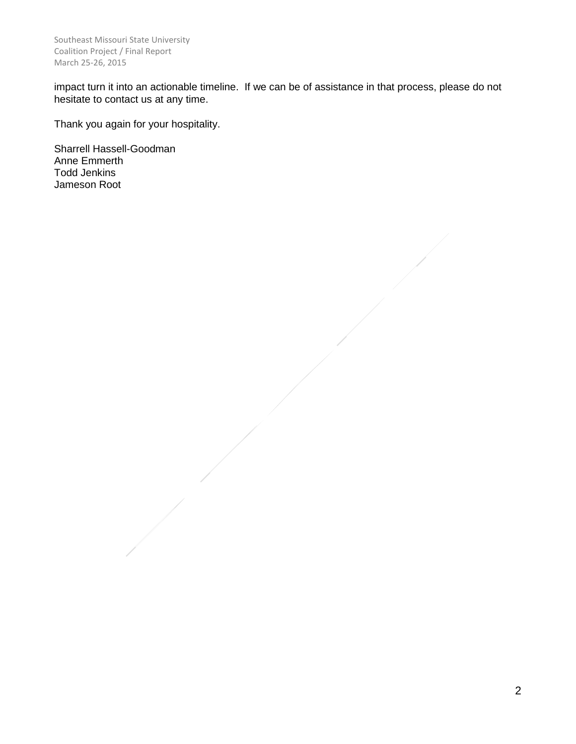impact turn it into an actionable timeline. If we can be of assistance in that process, please do not hesitate to contact us at any time.

Thank you again for your hospitality.

Sharrell Hassell-Goodman Anne Emmerth Todd Jenkins Jameson Root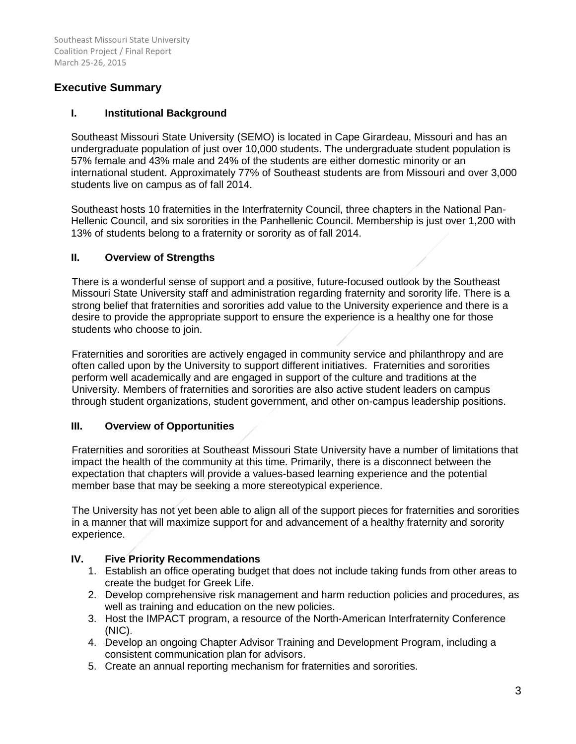# **Executive Summary**

## **I. Institutional Background**

Southeast Missouri State University (SEMO) is located in Cape Girardeau, Missouri and has an undergraduate population of just over 10,000 students. The undergraduate student population is 57% female and 43% male and 24% of the students are either domestic minority or an international student. Approximately 77% of Southeast students are from Missouri and over 3,000 students live on campus as of fall 2014.

Southeast hosts 10 fraternities in the Interfraternity Council, three chapters in the National Pan-Hellenic Council, and six sororities in the Panhellenic Council. Membership is just over 1,200 with 13% of students belong to a fraternity or sorority as of fall 2014.

## **II. Overview of Strengths**

There is a wonderful sense of support and a positive, future-focused outlook by the Southeast Missouri State University staff and administration regarding fraternity and sorority life. There is a strong belief that fraternities and sororities add value to the University experience and there is a desire to provide the appropriate support to ensure the experience is a healthy one for those students who choose to join.

Fraternities and sororities are actively engaged in community service and philanthropy and are often called upon by the University to support different initiatives. Fraternities and sororities perform well academically and are engaged in support of the culture and traditions at the University. Members of fraternities and sororities are also active student leaders on campus through student organizations, student government, and other on-campus leadership positions.

# **III. Overview of Opportunities**

Fraternities and sororities at Southeast Missouri State University have a number of limitations that impact the health of the community at this time. Primarily, there is a disconnect between the expectation that chapters will provide a values-based learning experience and the potential member base that may be seeking a more stereotypical experience.

The University has not yet been able to align all of the support pieces for fraternities and sororities in a manner that will maximize support for and advancement of a healthy fraternity and sorority experience.

# **IV. Five Priority Recommendations**

- 1. Establish an office operating budget that does not include taking funds from other areas to create the budget for Greek Life.
- 2. Develop comprehensive risk management and harm reduction policies and procedures, as well as training and education on the new policies.
- 3. Host the IMPACT program, a resource of the North-American Interfraternity Conference (NIC).
- 4. Develop an ongoing Chapter Advisor Training and Development Program, including a consistent communication plan for advisors.
- 5. Create an annual reporting mechanism for fraternities and sororities.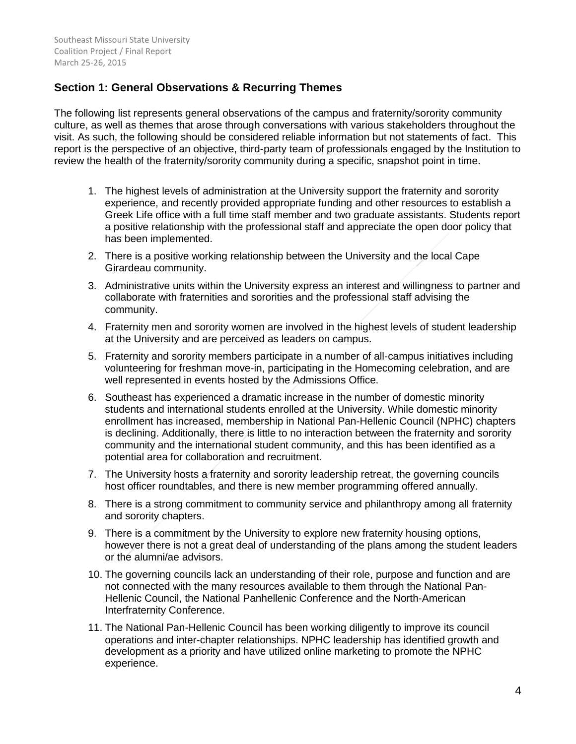# **Section 1: General Observations & Recurring Themes**

The following list represents general observations of the campus and fraternity/sorority community culture, as well as themes that arose through conversations with various stakeholders throughout the visit. As such, the following should be considered reliable information but not statements of fact. This report is the perspective of an objective, third-party team of professionals engaged by the Institution to review the health of the fraternity/sorority community during a specific, snapshot point in time.

- 1. The highest levels of administration at the University support the fraternity and sorority experience, and recently provided appropriate funding and other resources to establish a Greek Life office with a full time staff member and two graduate assistants. Students report a positive relationship with the professional staff and appreciate the open door policy that has been implemented.
- 2. There is a positive working relationship between the University and the local Cape Girardeau community.
- 3. Administrative units within the University express an interest and willingness to partner and collaborate with fraternities and sororities and the professional staff advising the community.
- 4. Fraternity men and sorority women are involved in the highest levels of student leadership at the University and are perceived as leaders on campus.
- 5. Fraternity and sorority members participate in a number of all-campus initiatives including volunteering for freshman move-in, participating in the Homecoming celebration, and are well represented in events hosted by the Admissions Office.
- 6. Southeast has experienced a dramatic increase in the number of domestic minority students and international students enrolled at the University. While domestic minority enrollment has increased, membership in National Pan-Hellenic Council (NPHC) chapters is declining. Additionally, there is little to no interaction between the fraternity and sorority community and the international student community, and this has been identified as a potential area for collaboration and recruitment.
- 7. The University hosts a fraternity and sorority leadership retreat, the governing councils host officer roundtables, and there is new member programming offered annually.
- 8. There is a strong commitment to community service and philanthropy among all fraternity and sorority chapters.
- 9. There is a commitment by the University to explore new fraternity housing options, however there is not a great deal of understanding of the plans among the student leaders or the alumni/ae advisors.
- 10. The governing councils lack an understanding of their role, purpose and function and are not connected with the many resources available to them through the National Pan-Hellenic Council, the National Panhellenic Conference and the North-American Interfraternity Conference.
- 11. The National Pan-Hellenic Council has been working diligently to improve its council operations and inter-chapter relationships. NPHC leadership has identified growth and development as a priority and have utilized online marketing to promote the NPHC experience.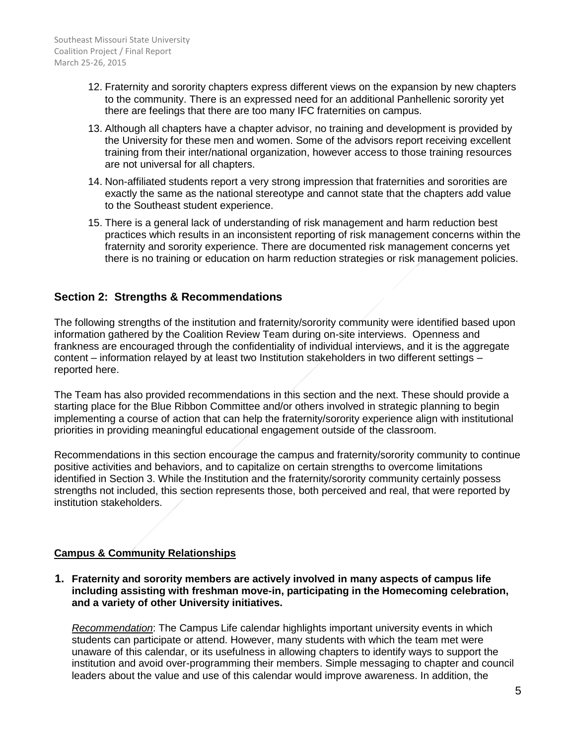- 12. Fraternity and sorority chapters express different views on the expansion by new chapters to the community. There is an expressed need for an additional Panhellenic sorority yet there are feelings that there are too many IFC fraternities on campus.
- 13. Although all chapters have a chapter advisor, no training and development is provided by the University for these men and women. Some of the advisors report receiving excellent training from their inter/national organization, however access to those training resources are not universal for all chapters.
- 14. Non-affiliated students report a very strong impression that fraternities and sororities are exactly the same as the national stereotype and cannot state that the chapters add value to the Southeast student experience.
- 15. There is a general lack of understanding of risk management and harm reduction best practices which results in an inconsistent reporting of risk management concerns within the fraternity and sorority experience. There are documented risk management concerns yet there is no training or education on harm reduction strategies or risk management policies.

# **Section 2: Strengths & Recommendations**

The following strengths of the institution and fraternity/sorority community were identified based upon information gathered by the Coalition Review Team during on-site interviews. Openness and frankness are encouraged through the confidentiality of individual interviews, and it is the aggregate content – information relayed by at least two Institution stakeholders in two different settings – reported here.

The Team has also provided recommendations in this section and the next. These should provide a starting place for the Blue Ribbon Committee and/or others involved in strategic planning to begin implementing a course of action that can help the fraternity/sorority experience align with institutional priorities in providing meaningful educational engagement outside of the classroom.

Recommendations in this section encourage the campus and fraternity/sorority community to continue positive activities and behaviors, and to capitalize on certain strengths to overcome limitations identified in Section 3. While the Institution and the fraternity/sorority community certainly possess strengths not included, this section represents those, both perceived and real, that were reported by institution stakeholders.

# **Campus & Community Relationships**

**1. Fraternity and sorority members are actively involved in many aspects of campus life including assisting with freshman move-in, participating in the Homecoming celebration, and a variety of other University initiatives.**

*Recommendation*: The Campus Life calendar highlights important university events in which students can participate or attend. However, many students with which the team met were unaware of this calendar, or its usefulness in allowing chapters to identify ways to support the institution and avoid over-programming their members. Simple messaging to chapter and council leaders about the value and use of this calendar would improve awareness. In addition, the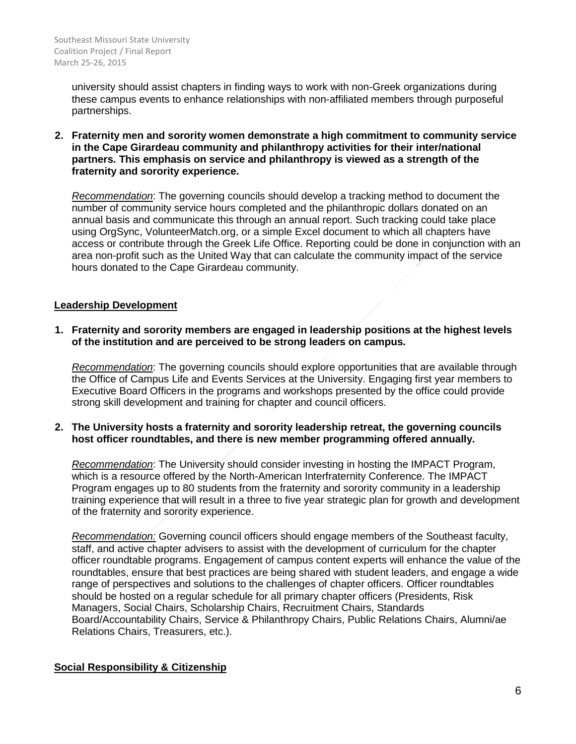university should assist chapters in finding ways to work with non-Greek organizations during these campus events to enhance relationships with non-affiliated members through purposeful partnerships.

**2. Fraternity men and sorority women demonstrate a high commitment to community service in the Cape Girardeau community and philanthropy activities for their inter/national partners. This emphasis on service and philanthropy is viewed as a strength of the fraternity and sorority experience.** 

*Recommendation*: The governing councils should develop a tracking method to document the number of community service hours completed and the philanthropic dollars donated on an annual basis and communicate this through an annual report. Such tracking could take place using OrgSync, VolunteerMatch.org, or a simple Excel document to which all chapters have access or contribute through the Greek Life Office. Reporting could be done in conjunction with an area non-profit such as the United Way that can calculate the community impact of the service hours donated to the Cape Girardeau community.

## **Leadership Development**

**1. Fraternity and sorority members are engaged in leadership positions at the highest levels of the institution and are perceived to be strong leaders on campus.**

*Recommendation*: The governing councils should explore opportunities that are available through the Office of Campus Life and Events Services at the University. Engaging first year members to Executive Board Officers in the programs and workshops presented by the office could provide strong skill development and training for chapter and council officers.

**2. The University hosts a fraternity and sorority leadership retreat, the governing councils host officer roundtables, and there is new member programming offered annually.** 

*Recommendation*: The University should consider investing in hosting the IMPACT Program, which is a resource offered by the North-American Interfraternity Conference. The IMPACT Program engages up to 80 students from the fraternity and sorority community in a leadership training experience that will result in a three to five year strategic plan for growth and development of the fraternity and sorority experience.

*Recommendation:* Governing council officers should engage members of the Southeast faculty, staff, and active chapter advisers to assist with the development of curriculum for the chapter officer roundtable programs. Engagement of campus content experts will enhance the value of the roundtables, ensure that best practices are being shared with student leaders, and engage a wide range of perspectives and solutions to the challenges of chapter officers. Officer roundtables should be hosted on a regular schedule for all primary chapter officers (Presidents, Risk Managers, Social Chairs, Scholarship Chairs, Recruitment Chairs, Standards Board/Accountability Chairs, Service & Philanthropy Chairs, Public Relations Chairs, Alumni/ae Relations Chairs, Treasurers, etc.).

#### **Social Responsibility & Citizenship**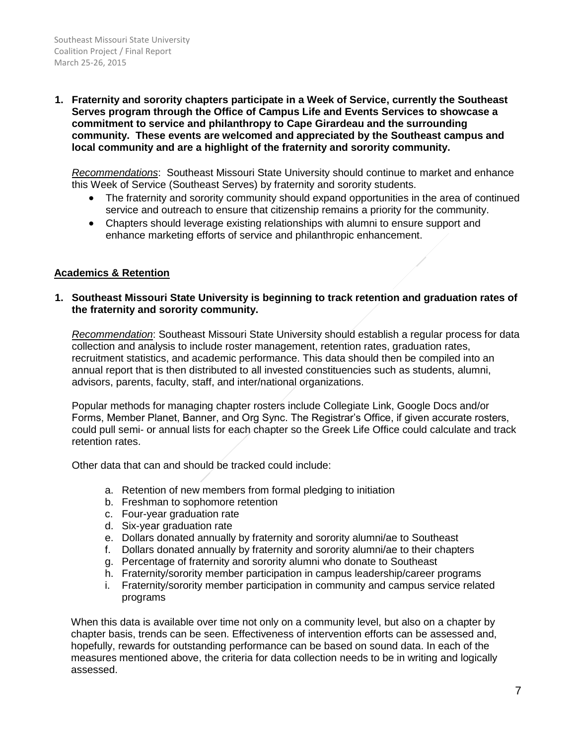**1. Fraternity and sorority chapters participate in a Week of Service, currently the Southeast Serves program through the Office of Campus Life and Events Services to showcase a commitment to service and philanthropy to Cape Girardeau and the surrounding community. These events are welcomed and appreciated by the Southeast campus and local community and are a highlight of the fraternity and sorority community.** 

*Recommendations*: Southeast Missouri State University should continue to market and enhance this Week of Service (Southeast Serves) by fraternity and sorority students.

- The fraternity and sorority community should expand opportunities in the area of continued service and outreach to ensure that citizenship remains a priority for the community.
- Chapters should leverage existing relationships with alumni to ensure support and enhance marketing efforts of service and philanthropic enhancement.

## **Academics & Retention**

### **1. Southeast Missouri State University is beginning to track retention and graduation rates of the fraternity and sorority community.**

*Recommendation*: Southeast Missouri State University should establish a regular process for data collection and analysis to include roster management, retention rates, graduation rates, recruitment statistics, and academic performance. This data should then be compiled into an annual report that is then distributed to all invested constituencies such as students, alumni, advisors, parents, faculty, staff, and inter/national organizations.

Popular methods for managing chapter rosters include Collegiate Link, Google Docs and/or Forms, Member Planet, Banner, and Org Sync. The Registrar's Office, if given accurate rosters, could pull semi- or annual lists for each chapter so the Greek Life Office could calculate and track retention rates.

Other data that can and should be tracked could include:

- a. Retention of new members from formal pledging to initiation
- b. Freshman to sophomore retention
- c. Four-year graduation rate
- d. Six-year graduation rate
- e. Dollars donated annually by fraternity and sorority alumni/ae to Southeast
- f. Dollars donated annually by fraternity and sorority alumni/ae to their chapters
- g. Percentage of fraternity and sorority alumni who donate to Southeast
- h. Fraternity/sorority member participation in campus leadership/career programs
- i. Fraternity/sorority member participation in community and campus service related programs

When this data is available over time not only on a community level, but also on a chapter by chapter basis, trends can be seen. Effectiveness of intervention efforts can be assessed and, hopefully, rewards for outstanding performance can be based on sound data. In each of the measures mentioned above, the criteria for data collection needs to be in writing and logically assessed.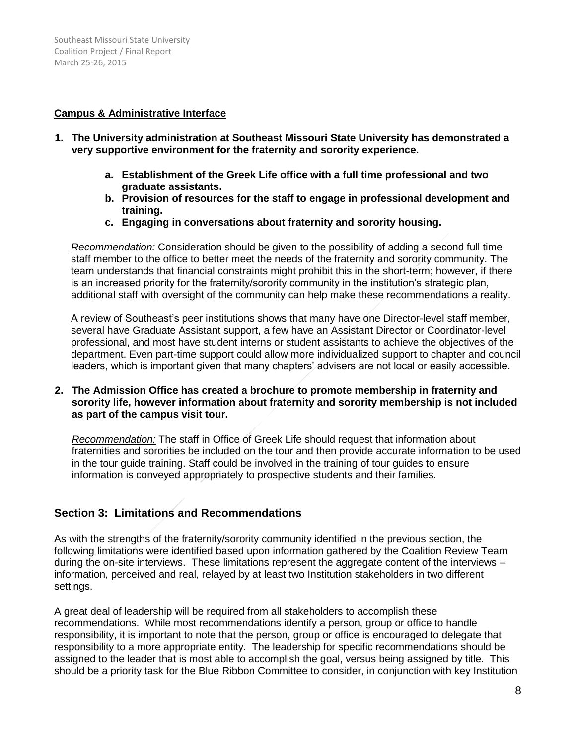### **Campus & Administrative Interface**

- **1. The University administration at Southeast Missouri State University has demonstrated a very supportive environment for the fraternity and sorority experience.**
	- **a. Establishment of the Greek Life office with a full time professional and two graduate assistants.**
	- **b. Provision of resources for the staff to engage in professional development and training.**
	- **c. Engaging in conversations about fraternity and sorority housing.**

*Recommendation:* Consideration should be given to the possibility of adding a second full time staff member to the office to better meet the needs of the fraternity and sorority community. The team understands that financial constraints might prohibit this in the short-term; however, if there is an increased priority for the fraternity/sorority community in the institution's strategic plan, additional staff with oversight of the community can help make these recommendations a reality.

A review of Southeast's peer institutions shows that many have one Director-level staff member, several have Graduate Assistant support, a few have an Assistant Director or Coordinator-level professional, and most have student interns or student assistants to achieve the objectives of the department. Even part-time support could allow more individualized support to chapter and council leaders, which is important given that many chapters' advisers are not local or easily accessible.

### **2. The Admission Office has created a brochure to promote membership in fraternity and sorority life, however information about fraternity and sorority membership is not included as part of the campus visit tour.**

*Recommendation:* The staff in Office of Greek Life should request that information about fraternities and sororities be included on the tour and then provide accurate information to be used in the tour guide training. Staff could be involved in the training of tour guides to ensure information is conveyed appropriately to prospective students and their families.

# **Section 3: Limitations and Recommendations**

As with the strengths of the fraternity/sorority community identified in the previous section, the following limitations were identified based upon information gathered by the Coalition Review Team during the on-site interviews. These limitations represent the aggregate content of the interviews – information, perceived and real, relayed by at least two Institution stakeholders in two different settings.

A great deal of leadership will be required from all stakeholders to accomplish these recommendations. While most recommendations identify a person, group or office to handle responsibility, it is important to note that the person, group or office is encouraged to delegate that responsibility to a more appropriate entity. The leadership for specific recommendations should be assigned to the leader that is most able to accomplish the goal, versus being assigned by title. This should be a priority task for the Blue Ribbon Committee to consider, in conjunction with key Institution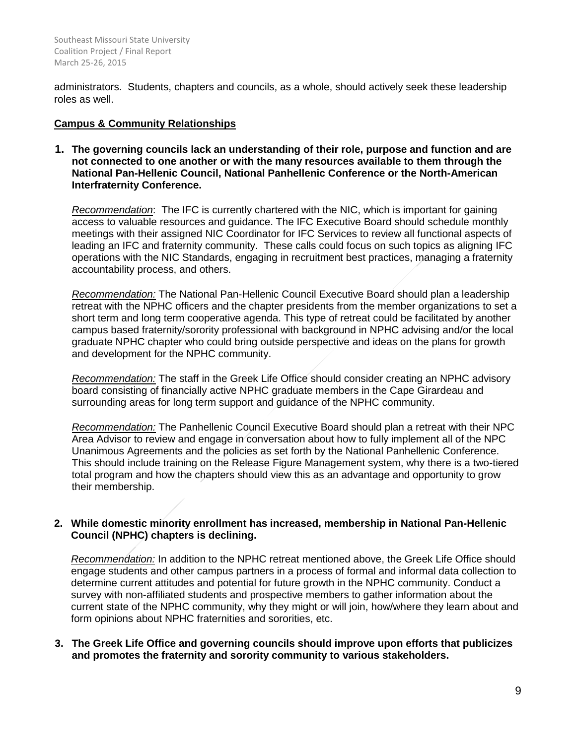administrators. Students, chapters and councils, as a whole, should actively seek these leadership roles as well.

## **Campus & Community Relationships**

**1. The governing councils lack an understanding of their role, purpose and function and are not connected to one another or with the many resources available to them through the National Pan-Hellenic Council, National Panhellenic Conference or the North-American Interfraternity Conference.** 

*Recommendation*: The IFC is currently chartered with the NIC, which is important for gaining access to valuable resources and guidance. The IFC Executive Board should schedule monthly meetings with their assigned NIC Coordinator for IFC Services to review all functional aspects of leading an IFC and fraternity community. These calls could focus on such topics as aligning IFC operations with the NIC Standards, engaging in recruitment best practices, managing a fraternity accountability process, and others.

*Recommendation:* The National Pan-Hellenic Council Executive Board should plan a leadership retreat with the NPHC officers and the chapter presidents from the member organizations to set a short term and long term cooperative agenda. This type of retreat could be facilitated by another campus based fraternity/sorority professional with background in NPHC advising and/or the local graduate NPHC chapter who could bring outside perspective and ideas on the plans for growth and development for the NPHC community.

*Recommendation:* The staff in the Greek Life Office should consider creating an NPHC advisory board consisting of financially active NPHC graduate members in the Cape Girardeau and surrounding areas for long term support and guidance of the NPHC community.

*Recommendation:* The Panhellenic Council Executive Board should plan a retreat with their NPC Area Advisor to review and engage in conversation about how to fully implement all of the NPC Unanimous Agreements and the policies as set forth by the National Panhellenic Conference. This should include training on the Release Figure Management system, why there is a two-tiered total program and how the chapters should view this as an advantage and opportunity to grow their membership.

## **2. While domestic minority enrollment has increased, membership in National Pan-Hellenic Council (NPHC) chapters is declining.**

*Recommendation:* In addition to the NPHC retreat mentioned above, the Greek Life Office should engage students and other campus partners in a process of formal and informal data collection to determine current attitudes and potential for future growth in the NPHC community. Conduct a survey with non-affiliated students and prospective members to gather information about the current state of the NPHC community, why they might or will join, how/where they learn about and form opinions about NPHC fraternities and sororities, etc.

**3. The Greek Life Office and governing councils should improve upon efforts that publicizes and promotes the fraternity and sorority community to various stakeholders.**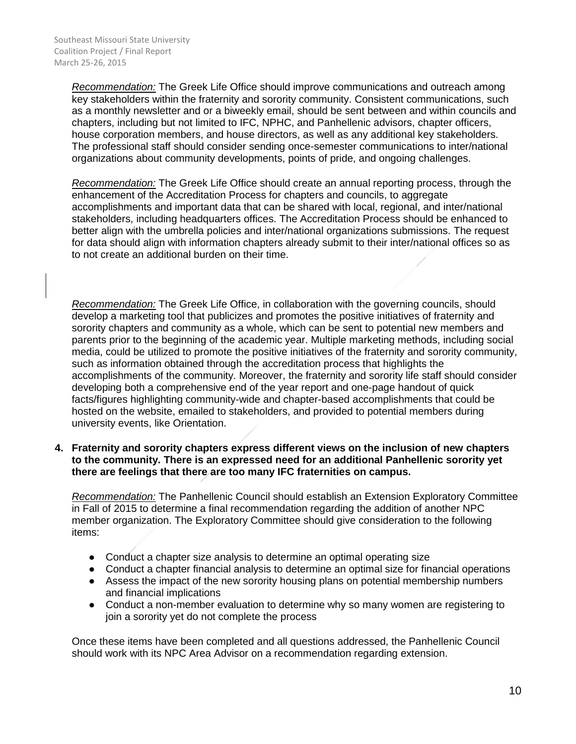*Recommendation:* The Greek Life Office should improve communications and outreach among key stakeholders within the fraternity and sorority community. Consistent communications, such as a monthly newsletter and or a biweekly email, should be sent between and within councils and chapters, including but not limited to IFC, NPHC, and Panhellenic advisors, chapter officers, house corporation members, and house directors, as well as any additional key stakeholders. The professional staff should consider sending once-semester communications to inter/national organizations about community developments, points of pride, and ongoing challenges.

*Recommendation:* The Greek Life Office should create an annual reporting process, through the enhancement of the Accreditation Process for chapters and councils, to aggregate accomplishments and important data that can be shared with local, regional, and inter/national stakeholders, including headquarters offices. The Accreditation Process should be enhanced to better align with the umbrella policies and inter/national organizations submissions. The request for data should align with information chapters already submit to their inter/national offices so as to not create an additional burden on their time.

*Recommendation:* The Greek Life Office, in collaboration with the governing councils, should develop a marketing tool that publicizes and promotes the positive initiatives of fraternity and sorority chapters and community as a whole, which can be sent to potential new members and parents prior to the beginning of the academic year. Multiple marketing methods, including social media, could be utilized to promote the positive initiatives of the fraternity and sorority community, such as information obtained through the accreditation process that highlights the accomplishments of the community. Moreover, the fraternity and sorority life staff should consider developing both a comprehensive end of the year report and one-page handout of quick facts/figures highlighting community-wide and chapter-based accomplishments that could be hosted on the website, emailed to stakeholders, and provided to potential members during university events, like Orientation.

### **4. Fraternity and sorority chapters express different views on the inclusion of new chapters to the community. There is an expressed need for an additional Panhellenic sorority yet there are feelings that there are too many IFC fraternities on campus.**

*Recommendation:* The Panhellenic Council should establish an Extension Exploratory Committee in Fall of 2015 to determine a final recommendation regarding the addition of another NPC member organization. The Exploratory Committee should give consideration to the following items:

- Conduct a chapter size analysis to determine an optimal operating size
- Conduct a chapter financial analysis to determine an optimal size for financial operations
- Assess the impact of the new sorority housing plans on potential membership numbers and financial implications
- Conduct a non-member evaluation to determine why so many women are registering to join a sorority yet do not complete the process

Once these items have been completed and all questions addressed, the Panhellenic Council should work with its NPC Area Advisor on a recommendation regarding extension.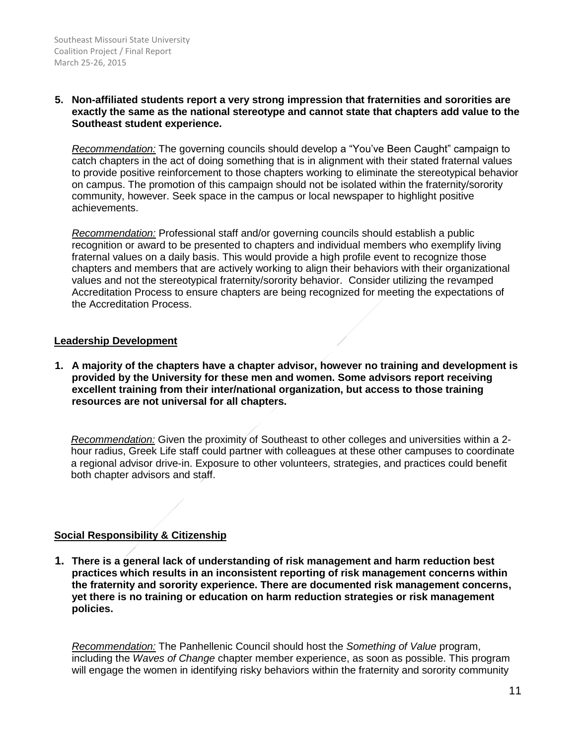### **5. Non-affiliated students report a very strong impression that fraternities and sororities are exactly the same as the national stereotype and cannot state that chapters add value to the Southeast student experience.**

*Recommendation:* The governing councils should develop a "You've Been Caught" campaign to catch chapters in the act of doing something that is in alignment with their stated fraternal values to provide positive reinforcement to those chapters working to eliminate the stereotypical behavior on campus. The promotion of this campaign should not be isolated within the fraternity/sorority community, however. Seek space in the campus or local newspaper to highlight positive achievements.

*Recommendation:* Professional staff and/or governing councils should establish a public recognition or award to be presented to chapters and individual members who exemplify living fraternal values on a daily basis. This would provide a high profile event to recognize those chapters and members that are actively working to align their behaviors with their organizational values and not the stereotypical fraternity/sorority behavior. Consider utilizing the revamped Accreditation Process to ensure chapters are being recognized for meeting the expectations of the Accreditation Process.

### **Leadership Development**

**1. A majority of the chapters have a chapter advisor, however no training and development is provided by the University for these men and women. Some advisors report receiving excellent training from their inter/national organization, but access to those training resources are not universal for all chapters.**

*Recommendation:* Given the proximity of Southeast to other colleges and universities within a 2 hour radius, Greek Life staff could partner with colleagues at these other campuses to coordinate a regional advisor drive-in. Exposure to other volunteers, strategies, and practices could benefit both chapter advisors and staff.

#### **Social Responsibility & Citizenship**

**1. There is a general lack of understanding of risk management and harm reduction best practices which results in an inconsistent reporting of risk management concerns within the fraternity and sorority experience. There are documented risk management concerns, yet there is no training or education on harm reduction strategies or risk management policies.**

*Recommendation:* The Panhellenic Council should host the *Something of Value* program, including the *Waves of Change* chapter member experience, as soon as possible. This program will engage the women in identifying risky behaviors within the fraternity and sorority community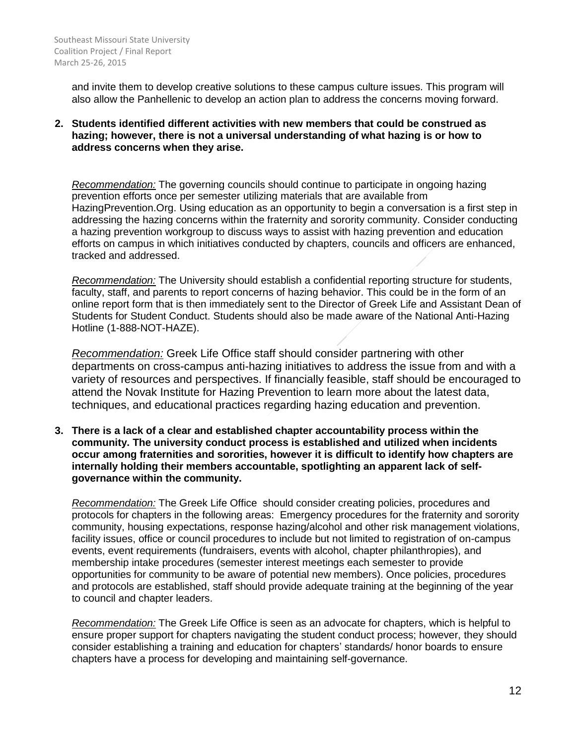and invite them to develop creative solutions to these campus culture issues. This program will also allow the Panhellenic to develop an action plan to address the concerns moving forward.

### **2. Students identified different activities with new members that could be construed as hazing; however, there is not a universal understanding of what hazing is or how to address concerns when they arise.**

*Recommendation:* The governing councils should continue to participate in ongoing hazing prevention efforts once per semester utilizing materials that are available from HazingPrevention.Org. Using education as an opportunity to begin a conversation is a first step in addressing the hazing concerns within the fraternity and sorority community. Consider conducting a hazing prevention workgroup to discuss ways to assist with hazing prevention and education efforts on campus in which initiatives conducted by chapters, councils and officers are enhanced, tracked and addressed.

*Recommendation:* The University should establish a confidential reporting structure for students, faculty, staff, and parents to report concerns of hazing behavior. This could be in the form of an online report form that is then immediately sent to the Director of Greek Life and Assistant Dean of Students for Student Conduct. Students should also be made aware of the National Anti-Hazing Hotline (1-888-NOT-HAZE).

*Recommendation:* Greek Life Office staff should consider partnering with other departments on cross-campus anti-hazing initiatives to address the issue from and with a variety of resources and perspectives. If financially feasible, staff should be encouraged to attend the Novak Institute for Hazing Prevention to learn more about the latest data, techniques, and educational practices regarding hazing education and prevention.

**3. There is a lack of a clear and established chapter accountability process within the community. The university conduct process is established and utilized when incidents occur among fraternities and sororities, however it is difficult to identify how chapters are internally holding their members accountable, spotlighting an apparent lack of selfgovernance within the community.** 

*Recommendation:* The Greek Life Office should consider creating policies, procedures and protocols for chapters in the following areas: Emergency procedures for the fraternity and sorority community, housing expectations, response hazing/alcohol and other risk management violations, facility issues, office or council procedures to include but not limited to registration of on-campus events, event requirements (fundraisers, events with alcohol, chapter philanthropies), and membership intake procedures (semester interest meetings each semester to provide opportunities for community to be aware of potential new members). Once policies, procedures and protocols are established, staff should provide adequate training at the beginning of the year to council and chapter leaders.

*Recommendation:* The Greek Life Office is seen as an advocate for chapters, which is helpful to ensure proper support for chapters navigating the student conduct process; however, they should consider establishing a training and education for chapters' standards/ honor boards to ensure chapters have a process for developing and maintaining self-governance.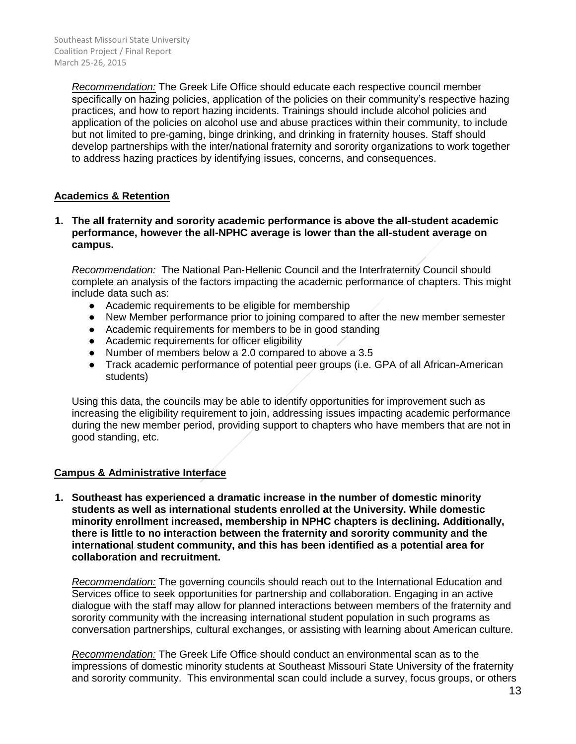*Recommendation:* The Greek Life Office should educate each respective council member specifically on hazing policies, application of the policies on their community's respective hazing practices, and how to report hazing incidents. Trainings should include alcohol policies and application of the policies on alcohol use and abuse practices within their community, to include but not limited to pre-gaming, binge drinking, and drinking in fraternity houses. Staff should develop partnerships with the inter/national fraternity and sorority organizations to work together to address hazing practices by identifying issues, concerns, and consequences.

## **Academics & Retention**

### **1. The all fraternity and sorority academic performance is above the all-student academic performance, however the all-NPHC average is lower than the all-student average on campus.**

*Recommendation:* The National Pan-Hellenic Council and the Interfraternity Council should complete an analysis of the factors impacting the academic performance of chapters. This might include data such as:

- Academic requirements to be eligible for membership
- New Member performance prior to joining compared to after the new member semester
- Academic requirements for members to be in good standing
- Academic requirements for officer eligibility
- Number of members below a 2.0 compared to above a 3.5
- Track academic performance of potential peer groups (i.e. GPA of all African-American students)

Using this data, the councils may be able to identify opportunities for improvement such as increasing the eligibility requirement to join, addressing issues impacting academic performance during the new member period, providing support to chapters who have members that are not in good standing, etc.

## **Campus & Administrative Interface**

**1. Southeast has experienced a dramatic increase in the number of domestic minority students as well as international students enrolled at the University. While domestic minority enrollment increased, membership in NPHC chapters is declining. Additionally, there is little to no interaction between the fraternity and sorority community and the international student community, and this has been identified as a potential area for collaboration and recruitment.**

*Recommendation:* The governing councils should reach out to the International Education and Services office to seek opportunities for partnership and collaboration. Engaging in an active dialogue with the staff may allow for planned interactions between members of the fraternity and sorority community with the increasing international student population in such programs as conversation partnerships, cultural exchanges, or assisting with learning about American culture.

*Recommendation:* The Greek Life Office should conduct an environmental scan as to the impressions of domestic minority students at Southeast Missouri State University of the fraternity and sorority community. This environmental scan could include a survey, focus groups, or others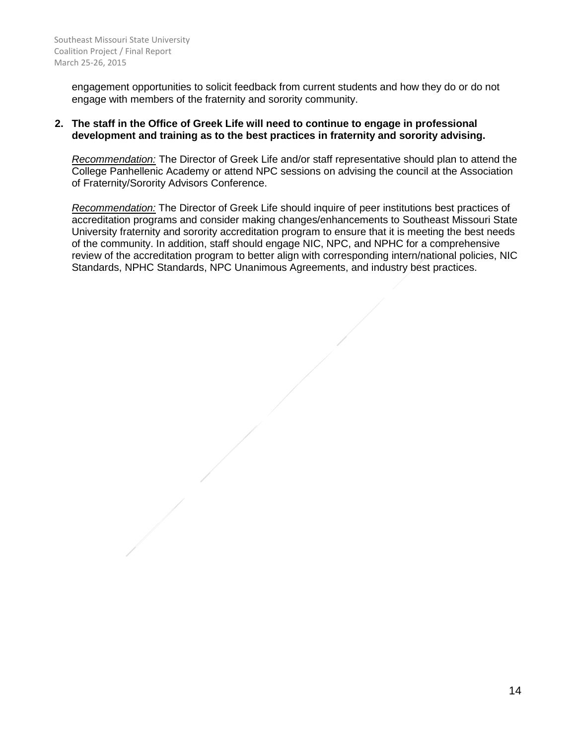engagement opportunities to solicit feedback from current students and how they do or do not engage with members of the fraternity and sorority community.

## **2. The staff in the Office of Greek Life will need to continue to engage in professional development and training as to the best practices in fraternity and sorority advising.**

*Recommendation:* The Director of Greek Life and/or staff representative should plan to attend the College Panhellenic Academy or attend NPC sessions on advising the council at the Association of Fraternity/Sorority Advisors Conference.

*Recommendation:* The Director of Greek Life should inquire of peer institutions best practices of accreditation programs and consider making changes/enhancements to Southeast Missouri State University fraternity and sorority accreditation program to ensure that it is meeting the best needs of the community. In addition, staff should engage NIC, NPC, and NPHC for a comprehensive review of the accreditation program to better align with corresponding intern/national policies, NIC Standards, NPHC Standards, NPC Unanimous Agreements, and industry best practices.